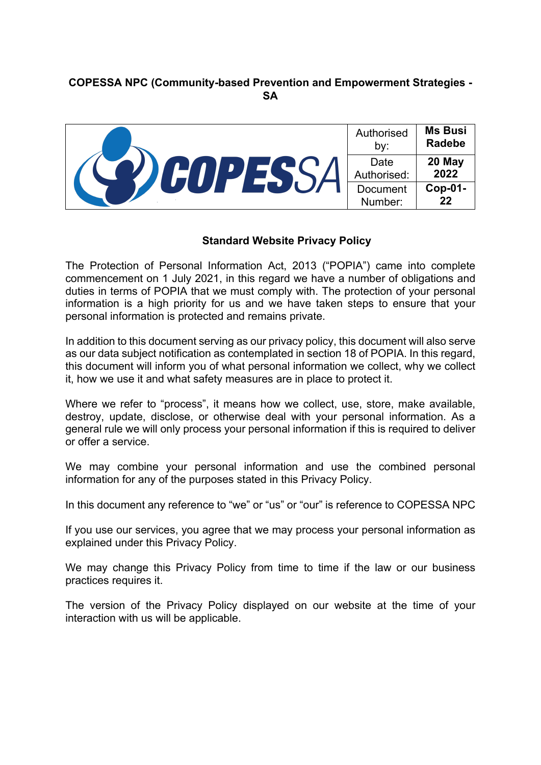# **COPESSA NPC (Community-based Prevention and Empowerment Strategies - SA**

|  | Authorised<br>by:   | <b>Ms Busi</b><br><b>Radebe</b> |
|--|---------------------|---------------------------------|
|  | Date<br>Authorised: | 20 May<br>2022                  |
|  | Document<br>Number: | Cop-01-<br>22                   |

#### **Standard Website Privacy Policy**

The Protection of Personal Information Act, 2013 ("POPIA") came into complete commencement on 1 July 2021, in this regard we have a number of obligations and duties in terms of POPIA that we must comply with. The protection of your personal information is a high priority for us and we have taken steps to ensure that your personal information is protected and remains private.

In addition to this document serving as our privacy policy, this document will also serve as our data subject notification as contemplated in section 18 of POPIA. In this regard, this document will inform you of what personal information we collect, why we collect it, how we use it and what safety measures are in place to protect it.

Where we refer to "process", it means how we collect, use, store, make available, destroy, update, disclose, or otherwise deal with your personal information. As a general rule we will only process your personal information if this is required to deliver or offer a service.

We may combine your personal information and use the combined personal information for any of the purposes stated in this Privacy Policy.

In this document any reference to "we" or "us" or "our" is reference to COPESSA NPC

If you use our services, you agree that we may process your personal information as explained under this Privacy Policy.

We may change this Privacy Policy from time to time if the law or our business practices requires it.

The version of the Privacy Policy displayed on our website at the time of your interaction with us will be applicable.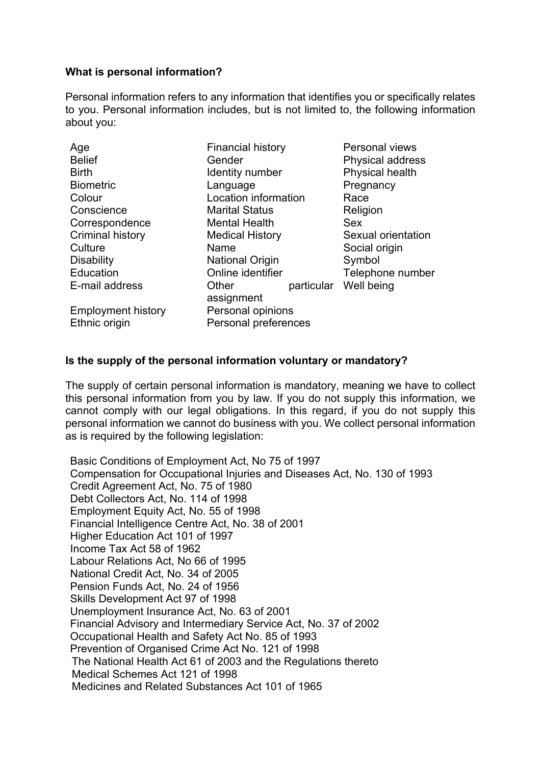### **What is personal information?**

Personal information refers to any information that identifies you or specifically relates to you. Personal information includes, but is not limited to, the following information about you:

| Age                       | <b>Financial history</b> |            | Personal views     |
|---------------------------|--------------------------|------------|--------------------|
| <b>Belief</b>             | Gender                   |            | Physical address   |
| <b>Birth</b>              | Identity number          |            | Physical health    |
| <b>Biometric</b>          | Language                 |            | Pregnancy          |
| Colour                    | Location information     |            | Race               |
| Conscience                | <b>Marital Status</b>    |            | Religion           |
| Correspondence            | <b>Mental Health</b>     |            | Sex                |
| <b>Criminal history</b>   | <b>Medical History</b>   |            | Sexual orientation |
| Culture                   | Name                     |            | Social origin      |
| <b>Disability</b>         | <b>National Origin</b>   |            | Symbol             |
| Education                 | Online identifier        |            | Telephone number   |
| E-mail address            | Other                    | particular | Well being         |
|                           | assignment               |            |                    |
| <b>Employment history</b> | Personal opinions        |            |                    |
| Ethnic origin             | Personal preferences     |            |                    |

#### **Is the supply of the personal information voluntary or mandatory?**

The supply of certain personal information is mandatory, meaning we have to collect this personal information from you by law. If you do not supply this information, we cannot comply with our legal obligations. In this regard, if you do not supply this personal information we cannot do business with you. We collect personal information as is required by the following legislation:

Basic Conditions of Employment Act, No 75 of 1997 Compensation for Occupational Injuries and Diseases Act, No. 130 of 1993 Credit Agreement Act, No. 75 of 1980 Debt Collectors Act, No. 114 of 1998 Employment Equity Act, No. 55 of 1998 Financial Intelligence Centre Act, No. 38 of 2001 Higher Education Act 101 of 1997 Income Tax Act 58 of 1962 Labour Relations Act, No 66 of 1995 National Credit Act, No. 34 of 2005 Pension Funds Act, No. 24 of 1956 Skills Development Act 97 of 1998 Unemployment Insurance Act, No. 63 of 2001 Financial Advisory and Intermediary Service Act, No. 37 of 2002 Occupational Health and Safety Act No. 85 of 1993 Prevention of Organised Crime Act No. 121 of 1998 The National Health Act 61 of 2003 and the Regulations thereto Medical Schemes Act 121 of 1998 Medicines and Related Substances Act 101 of 1965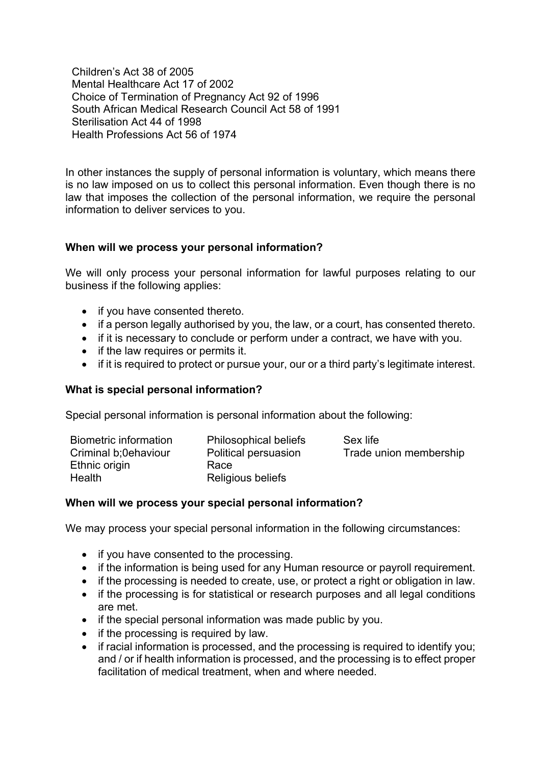Children's Act 38 of 2005 Mental Healthcare Act 17 of 2002 Choice of Termination of Pregnancy Act 92 of 1996 South African Medical Research Council Act 58 of 1991 Sterilisation Act 44 of 1998 Health Professions Act 56 of 1974

In other instances the supply of personal information is voluntary, which means there is no law imposed on us to collect this personal information. Even though there is no law that imposes the collection of the personal information, we require the personal information to deliver services to you.

## **When will we process your personal information?**

We will only process your personal information for lawful purposes relating to our business if the following applies:

- if you have consented thereto.
- if a person legally authorised by you, the law, or a court, has consented thereto.
- if it is necessary to conclude or perform under a contract, we have with you.
- if the law requires or permits it.
- if it is required to protect or pursue your, our or a third party's legitimate interest.

#### **What is special personal information?**

Special personal information is personal information about the following:

| Biometric information<br>Criminal b:0ehaviour | <b>Philosophical beliefs</b><br>Political persuasion | Sex life<br>Trade union membership |
|-----------------------------------------------|------------------------------------------------------|------------------------------------|
| Ethnic origin                                 | Race                                                 |                                    |
| Health                                        | Religious beliefs                                    |                                    |

#### **When will we process your special personal information?**

We may process your special personal information in the following circumstances:

- if you have consented to the processing.
- if the information is being used for any Human resource or payroll requirement.
- if the processing is needed to create, use, or protect a right or obligation in law.
- if the processing is for statistical or research purposes and all legal conditions are met.
- if the special personal information was made public by you.
- if the processing is required by law.
- if racial information is processed, and the processing is required to identify you; and / or if health information is processed, and the processing is to effect proper facilitation of medical treatment, when and where needed.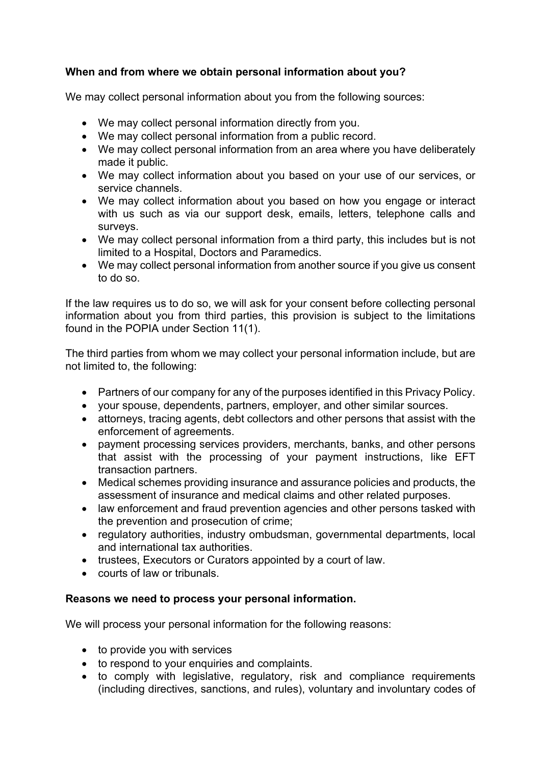# **When and from where we obtain personal information about you?**

We may collect personal information about you from the following sources:

- We may collect personal information directly from you.
- We may collect personal information from a public record.
- We may collect personal information from an area where you have deliberately made it public.
- We may collect information about you based on your use of our services, or service channels.
- We may collect information about you based on how you engage or interact with us such as via our support desk, emails, letters, telephone calls and surveys.
- We may collect personal information from a third party, this includes but is not limited to a Hospital, Doctors and Paramedics.
- We may collect personal information from another source if you give us consent to do so.

If the law requires us to do so, we will ask for your consent before collecting personal information about you from third parties, this provision is subject to the limitations found in the POPIA under Section 11(1).

The third parties from whom we may collect your personal information include, but are not limited to, the following:

- Partners of our company for any of the purposes identified in this Privacy Policy.
- your spouse, dependents, partners, employer, and other similar sources.
- attorneys, tracing agents, debt collectors and other persons that assist with the enforcement of agreements.
- payment processing services providers, merchants, banks, and other persons that assist with the processing of your payment instructions, like EFT transaction partners.
- Medical schemes providing insurance and assurance policies and products, the assessment of insurance and medical claims and other related purposes.
- law enforcement and fraud prevention agencies and other persons tasked with the prevention and prosecution of crime;
- regulatory authorities, industry ombudsman, governmental departments, local and international tax authorities.
- trustees, Executors or Curators appointed by a court of law.
- courts of law or tribunals.

# **Reasons we need to process your personal information.**

We will process your personal information for the following reasons:

- to provide you with services
- to respond to your enquiries and complaints.
- to comply with legislative, regulatory, risk and compliance requirements (including directives, sanctions, and rules), voluntary and involuntary codes of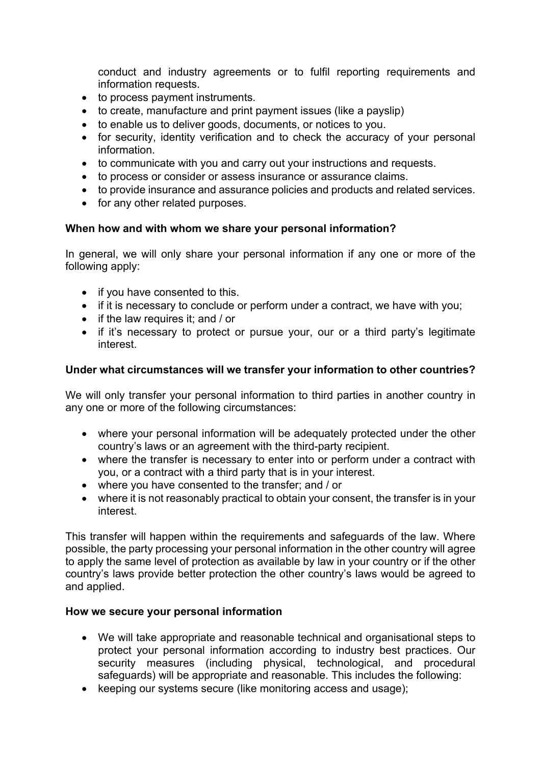conduct and industry agreements or to fulfil reporting requirements and information requests.

- to process payment instruments.
- to create, manufacture and print payment issues (like a payslip)
- to enable us to deliver goods, documents, or notices to you.
- for security, identity verification and to check the accuracy of your personal information.
- to communicate with you and carry out your instructions and requests.
- to process or consider or assess insurance or assurance claims.
- to provide insurance and assurance policies and products and related services.
- for any other related purposes.

## **When how and with whom we share your personal information?**

In general, we will only share your personal information if any one or more of the following apply:

- if you have consented to this.
- if it is necessary to conclude or perform under a contract, we have with you;
- if the law requires it; and / or
- if it's necessary to protect or pursue your, our or a third party's legitimate interest.

## **Under what circumstances will we transfer your information to other countries?**

We will only transfer your personal information to third parties in another country in any one or more of the following circumstances:

- where your personal information will be adequately protected under the other country's laws or an agreement with the third-party recipient.
- where the transfer is necessary to enter into or perform under a contract with you, or a contract with a third party that is in your interest.
- where you have consented to the transfer; and / or
- where it is not reasonably practical to obtain your consent, the transfer is in your interest.

This transfer will happen within the requirements and safeguards of the law. Where possible, the party processing your personal information in the other country will agree to apply the same level of protection as available by law in your country or if the other country's laws provide better protection the other country's laws would be agreed to and applied.

## **How we secure your personal information**

- We will take appropriate and reasonable technical and organisational steps to protect your personal information according to industry best practices. Our security measures (including physical, technological, and procedural safeguards) will be appropriate and reasonable. This includes the following:
- keeping our systems secure (like monitoring access and usage);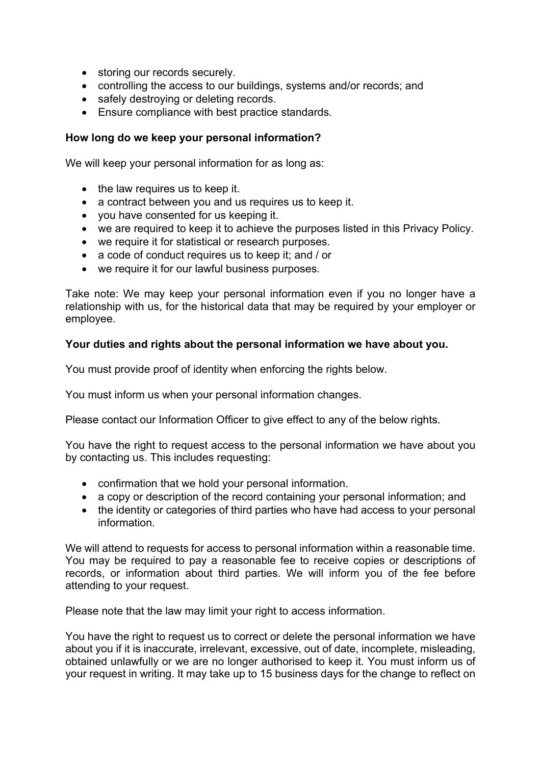- storing our records securely.
- controlling the access to our buildings, systems and/or records; and
- safely destroying or deleting records.
- Ensure compliance with best practice standards.

## **How long do we keep your personal information?**

We will keep your personal information for as long as:

- the law requires us to keep it.
- a contract between you and us requires us to keep it.
- you have consented for us keeping it.
- we are required to keep it to achieve the purposes listed in this Privacy Policy.
- we require it for statistical or research purposes.
- a code of conduct requires us to keep it: and / or
- we require it for our lawful business purposes.

Take note: We may keep your personal information even if you no longer have a relationship with us, for the historical data that may be required by your employer or employee.

## **Your duties and rights about the personal information we have about you.**

You must provide proof of identity when enforcing the rights below.

You must inform us when your personal information changes.

Please contact our Information Officer to give effect to any of the below rights.

You have the right to request access to the personal information we have about you by contacting us. This includes requesting:

- confirmation that we hold your personal information.
- a copy or description of the record containing your personal information; and
- the identity or categories of third parties who have had access to your personal information.

We will attend to requests for access to personal information within a reasonable time. You may be required to pay a reasonable fee to receive copies or descriptions of records, or information about third parties. We will inform you of the fee before attending to your request.

Please note that the law may limit your right to access information.

You have the right to request us to correct or delete the personal information we have about you if it is inaccurate, irrelevant, excessive, out of date, incomplete, misleading, obtained unlawfully or we are no longer authorised to keep it. You must inform us of your request in writing. It may take up to 15 business days for the change to reflect on